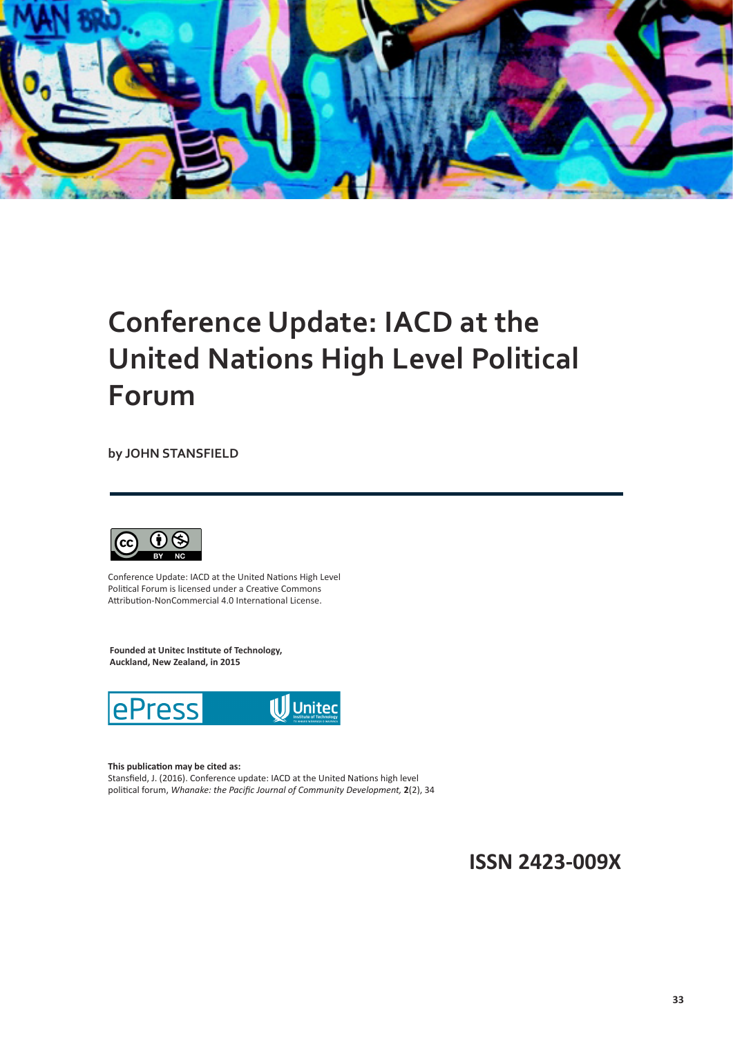

## **Conference Update: IACD at the United Nations High Level Political Forum**

**by JOHN STANSFIELD**



Conference Update: IACD at the United Nations High Level Political Forum is licensed under a Creative Commons Attribution-NonCommercial 4.0 International License.

**Founded at Unitec Institute of Technology, Auckland, New Zealand, in 2015**



#### **This publication may be cited as:**

Stansfield, J. (2016). Conference update: IACD at the United Nations high level political forum, *Whanake: the Pacific Journal of Community Development,* **2**(2), 34

**ISSN 2423-009X**